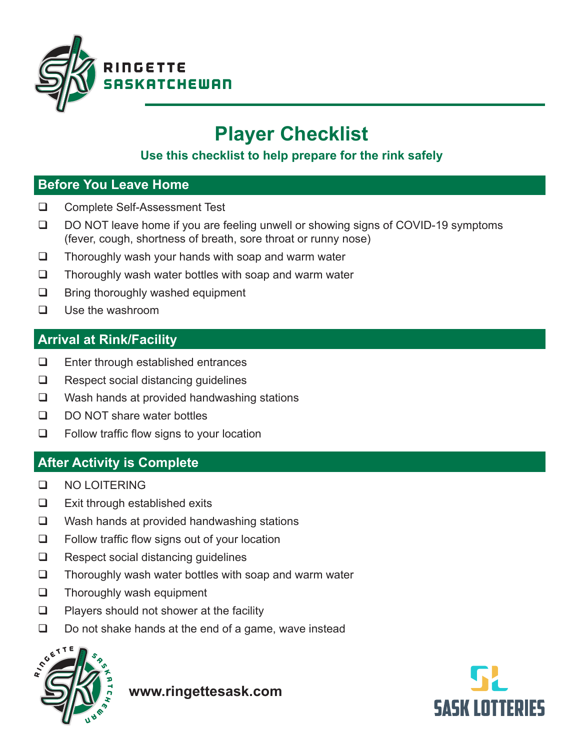

# **Player Checklist**

## **Use this checklist to help prepare for the rink safely**

#### **Before You Leave Home**

- □ Complete Self-Assessment Test
- $\Box$  DO NOT leave home if you are feeling unwell or showing signs of COVID-19 symptoms (fever, cough, shortness of breath, sore throat or runny nose)
- $\Box$  Thoroughly wash your hands with soap and warm water
- $\Box$  Thoroughly wash water bottles with soap and warm water
- $\Box$  Bring thoroughly washed equipment
- $\Box$  Use the washroom

## **Arrival at Rink/Facility**

- $\Box$  Enter through established entrances
- $\Box$  Respect social distancing guidelines
- $\Box$  Wash hands at provided handwashing stations
- $\Box$  DO NOT share water bottles
- $\Box$  Follow traffic flow signs to your location

## **After Activity is Complete**

- q NO LOITERING
- $\Box$  Exit through established exits
- $\Box$  Wash hands at provided handwashing stations
- $\Box$  Follow traffic flow signs out of your location
- $\Box$  Respect social distancing guidelines
- $\Box$  Thoroughly wash water bottles with soap and warm water
- $\Box$  Thoroughly wash equipment
- $\Box$  Players should not shower at the facility
- $\Box$  Do not shake hands at the end of a game, wave instead



**www.ringettesask.com**

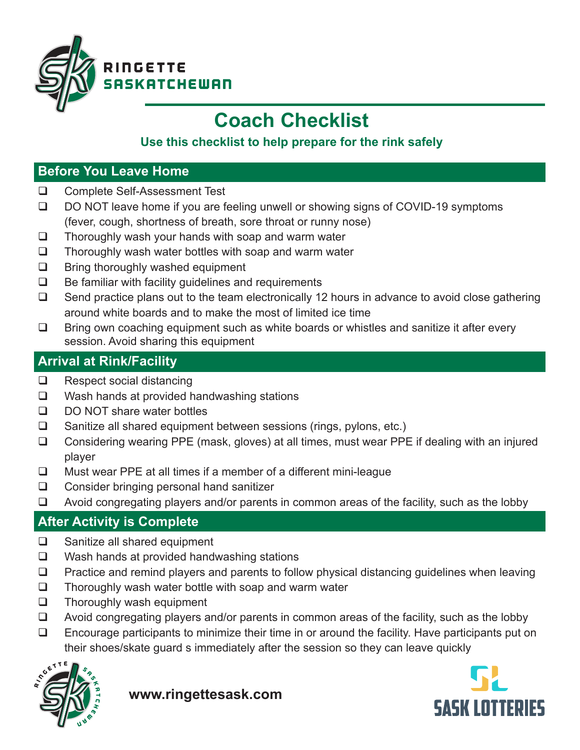

# **Coach Checklist**

## **Use this checklist to help prepare for the rink safely**

## **Before You Leave Home**

- □ Complete Self-Assessment Test
- $\Box$  DO NOT leave home if you are feeling unwell or showing signs of COVID-19 symptoms (fever, cough, shortness of breath, sore throat or runny nose)
- $\Box$  Thoroughly wash your hands with soap and warm water
- $\Box$  Thoroughly wash water bottles with soap and warm water
- $\Box$  Bring thoroughly washed equipment
- $\Box$  Be familiar with facility guidelines and requirements
- $\Box$  Send practice plans out to the team electronically 12 hours in advance to avoid close gathering around white boards and to make the most of limited ice time
- $\Box$  Bring own coaching equipment such as white boards or whistles and sanitize it after every session. Avoid sharing this equipment

## **Arrival at Rink/Facility**

- $\Box$  Respect social distancing
- $\Box$  Wash hands at provided handwashing stations
- $\Box$  DO NOT share water bottles
- $\Box$  Sanitize all shared equipment between sessions (rings, pylons, etc.)
- $\Box$  Considering wearing PPE (mask, gloves) at all times, must wear PPE if dealing with an injured player
- $\Box$  Must wear PPE at all times if a member of a different mini-league
- $\Box$  Consider bringing personal hand sanitizer
- $\Box$  Avoid congregating players and/or parents in common areas of the facility, such as the lobby

## **After Activity is Complete**

- $\Box$  Sanitize all shared equipment
- $\Box$  Wash hands at provided handwashing stations
- $\Box$  Practice and remind players and parents to follow physical distancing guidelines when leaving
- $\Box$  Thoroughly wash water bottle with soap and warm water
- $\Box$  Thoroughly wash equipment
- $\Box$  Avoid congregating players and/or parents in common areas of the facility, such as the lobby
- $\Box$  Encourage participants to minimize their time in or around the facility. Have participants put on their shoes/skate guard s immediately after the session so they can leave quickly



**www.ringettesask.com**